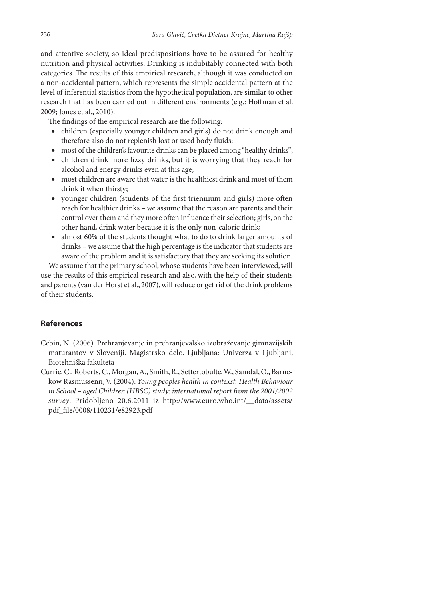and attentive society, so ideal predispositions have to be assured for healthy nutrition and physical activities. Drinking is indubitably connected with both categories. The results of this empirical research, although it was conducted on a non-accidental pattern, which represents the simple accidental pattern at the level of inferential statistics from the hypothetical population, are similar to other research that has been carried out in different environments (e.g.: Hoffman et al. 2009; Jones et al., 2010).

The findings of the empirical research are the following:

- children (especially younger children and girls) do not drink enough and therefore also do not replenish lost or used body fluids;
- most of the children's favourite drinks can be placed among "healthy drinks";
- children drink more fizzy drinks, but it is worrying that they reach for alcohol and energy drinks even at this age;
- most children are aware that water is the healthiest drink and most of them drink it when thirsty;
- younger children (students of the first triennium and girls) more often reach for healthier drinks – we assume that the reason are parents and their control over them and they more often influence their selection; girls, on the other hand, drink water because it is the only non-caloric drink;
- almost 60% of the students thought what to do to drink larger amounts of drinks – we assume that the high percentage is the indicator that students are aware of the problem and it is satisfactory that they are seeking its solution.

We assume that the primary school, whose students have been interviewed, will use the results of this empirical research and also, with the help of their students and parents (van der Horst et al., 2007), will reduce or get rid of the drink problems of their students.

## **References**

- Cebin, N. (2006). Prehranjevanje in prehranjevalsko izobraževanje gimnazijskih maturantov v Sloveniji. Magistrsko delo. Ljubljana: Univerza v Ljubljani, Biotehniška fakulteta
- Currie, C., Roberts, C., Morgan, A., Smith, R., Settertobulte, W., Samdal, O., Barnekow Rasmussenn, V. (2004). Young peoples health in contexst: Health Behaviour in School – aged Children (HBSC) study: international report from the 2001/2002 survey. Pridobljeno 20.6.2011 iz http://www.euro.who.int/\_\_data/assets/ pdf\_file/0008/110231/e82923.pdf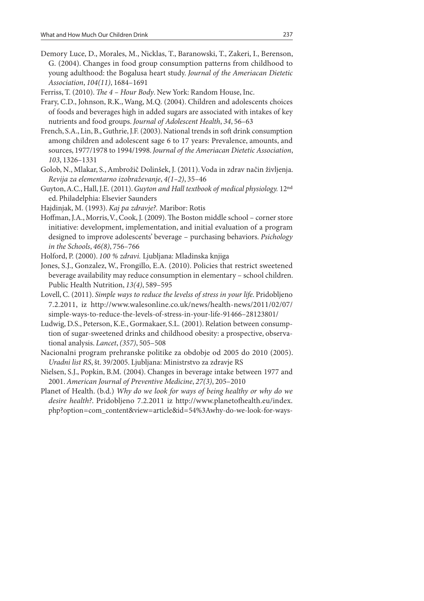- Demory Luce, D., Morales, M., Nicklas, T., Baranowski, T., Zakeri, I., Berenson, G. (2004). Changes in food group consumption patterns from childhood to young adulthood: the Bogalusa heart study. Journal of the Ameriacan Dietetic Association, 104(11), 1684–1691
- Ferriss, T. (2010). The 4 Hour Body. New York: Random House, Inc.
- Frary, C.D., Johnson, R.K., Wang, M.Q. (2004). Children and adolescents choices of foods and beverages high in added sugars are associated with intakes of key nutrients and food groups. Journal of Adolescent Health, 34, 56–63
- French, S.A., Lin, B., Guthrie, J.F. (2003). National trends in soft drink consumption among children and adolescent sage 6 to 17 years: Prevalence, amounts, and sources, 1977/1978 to 1994/1998. Journal of the Ameriacan Dietetic Association, 103, 1326–1331
- Golob, N., Mlakar, S., Ambrožič Dolinšek, J. (2011). Voda in zdrav način življenja. Revija za elementarno izobraževanje, 4(1–2), 35–46
- Guyton, A.C., Hall, J.E. (2011). Guyton and Hall textbook of medical physiology. 12<sup>nd</sup> ed. Philadelphia: Elsevier Saunders
- Hajdinjak, M. (1993). Kaj pa zdravje?. Maribor: Rotis
- Hoffman, J.A., Morris, V., Cook, J. (2009). The Boston middle school corner store initiative: development, implementation, and initial evaluation of a program designed to improve adolescents' beverage – purchasing behaviors. Psichology in the Schools, 46(8), 756–766
- Holford, P. (2000). 100 % zdravi. Ljubljana: Mladinska knjiga
- Jones, S.J., Gonzalez, W., Frongillo, E.A. (2010). Policies that restrict sweetened beverage availability may reduce consumption in elementary – school children. Public Health Nutrition, 13(4), 589–595
- Lovell, C. (2011). Simple ways to reduce the levelss of stress in your life. Pridobljeno 7.2.2011, iz http://www.walesonline.co.uk/news/health-news/2011/02/07/ simple-ways-to-reduce-the-levels-of-stress-in-your-life-91466–28123801/
- Ludwig, D.S., Peterson, K.E., Gormakaer, S.L. (2001). Relation between consumption of sugar-sweetened drinks and childhood obesity: a prospective, observational analysis. Lancet, (357), 505–508
- Nacionalni program prehranske politike za obdobje od 2005 do 2010 (2005). Uradni list RS, št. 39/2005. Ljubljana: Ministrstvo za zdravje RS
- Nielsen, S.J., Popkin, B.M. (2004). Changes in beverage intake between 1977 and 2001. American Journal of Preventive Medicine, 27(3), 205–2010
- Planet of Health. (b.d.) Why do we look for ways of being healthy or why do we desire health?. Pridobljeno 7.2.2011 iz http://www.planetofhealth.eu/index. php?option = com\_content&view = article&id = 54%3Awhy-do-we-look-for-ways-